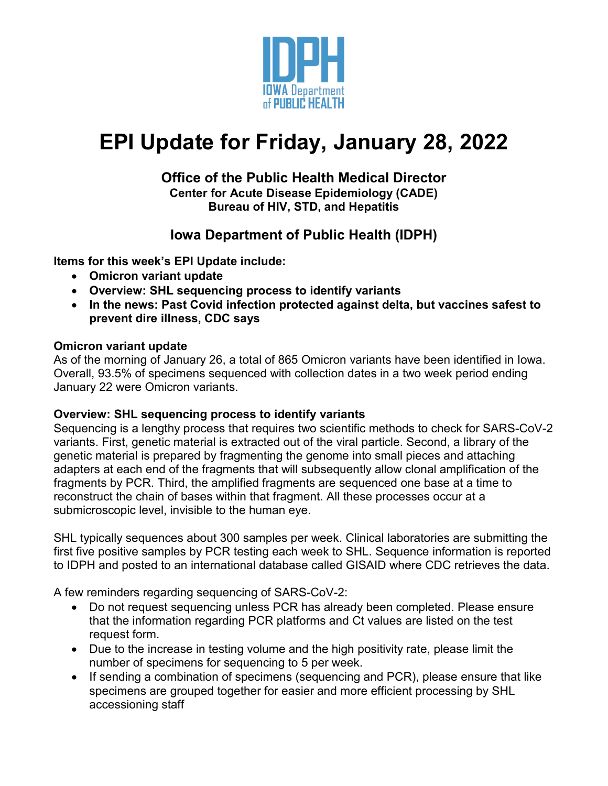

# **EPI Update for Friday, January 28, 2022**

### **Office of the Public Health Medical Director Center for Acute Disease Epidemiology (CADE) Bureau of HIV, STD, and Hepatitis**

# **Iowa Department of Public Health (IDPH)**

**Items for this week's EPI Update include:**

- **Omicron variant update**
- **Overview: SHL sequencing process to identify variants**
- **In the news: Past Covid infection protected against delta, but vaccines safest to prevent dire illness, CDC says**

# **Omicron variant update**

As of the morning of January 26, a total of 865 Omicron variants have been identified in Iowa. Overall, 93.5% of specimens sequenced with collection dates in a two week period ending January 22 were Omicron variants.

# **Overview: SHL sequencing process to identify variants**

Sequencing is a lengthy process that requires two scientific methods to check for SARS-CoV-2 variants. First, genetic material is extracted out of the viral particle. Second, a library of the genetic material is prepared by fragmenting the genome into small pieces and attaching adapters at each end of the fragments that will subsequently allow clonal amplification of the fragments by PCR. Third, the amplified fragments are sequenced one base at a time to reconstruct the chain of bases within that fragment. All these processes occur at a submicroscopic level, invisible to the human eye.

SHL typically sequences about 300 samples per week. Clinical laboratories are submitting the first five positive samples by PCR testing each week to SHL. Sequence information is reported to IDPH and posted to an international database called GISAID where CDC retrieves the data.

A few reminders regarding sequencing of SARS-CoV-2:

- Do not request sequencing unless PCR has already been completed. Please ensure that the information regarding PCR platforms and Ct values are listed on the test request form.
- Due to the increase in testing volume and the high positivity rate, please limit the number of specimens for sequencing to 5 per week.
- If sending a combination of specimens (sequencing and PCR), please ensure that like specimens are grouped together for easier and more efficient processing by SHL accessioning staff